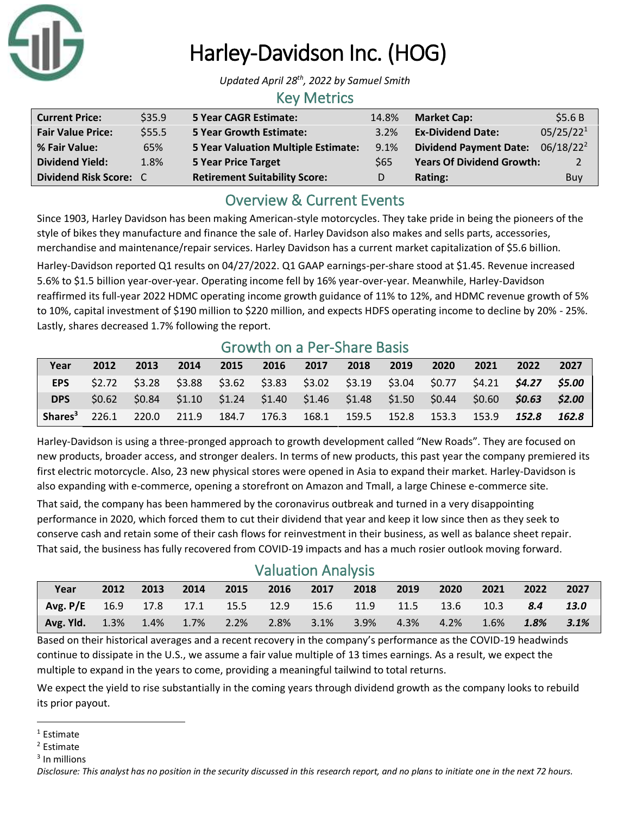

# Harley-Davidson Inc. (HOG)

*Updated April 28th, 2022 by Samuel Smith*

#### Key Metrics

| <b>Current Price:</b>    | \$35.9 | <b>5 Year CAGR Estimate:</b>               | 14.8%      | <b>Market Cap:</b>                           | \$5.6B                |
|--------------------------|--------|--------------------------------------------|------------|----------------------------------------------|-----------------------|
| <b>Fair Value Price:</b> | \$55.5 | <b>5 Year Growth Estimate:</b>             | 3.2%       | <b>Ex-Dividend Date:</b>                     | 05/25/22 <sup>1</sup> |
| % Fair Value:            | 65%    | <b>5 Year Valuation Multiple Estimate:</b> | 9.1%       | Dividend Payment Date: 06/18/22 <sup>2</sup> |                       |
| <b>Dividend Yield:</b>   | 1.8%   | <b>5 Year Price Target</b>                 | <b>S65</b> | <b>Years Of Dividend Growth:</b>             | 2                     |
| Dividend Risk Score: C   |        | <b>Retirement Suitability Score:</b>       | D          | Rating:                                      | Buy                   |

# Overview & Current Events

Since 1903, Harley Davidson has been making American-style motorcycles. They take pride in being the pioneers of the style of bikes they manufacture and finance the sale of. Harley Davidson also makes and sells parts, accessories, merchandise and maintenance/repair services. Harley Davidson has a current market capitalization of \$5.6 billion.

Harley-Davidson reported Q1 results on 04/27/2022. Q1 GAAP earnings-per-share stood at \$1.45. Revenue increased 5.6% to \$1.5 billion year-over-year. Operating income fell by 16% year-over-year. Meanwhile, Harley-Davidson reaffirmed its full-year 2022 HDMC operating income growth guidance of 11% to 12%, and HDMC revenue growth of 5% to 10%, capital investment of \$190 million to \$220 million, and expects HDFS operating income to decline by 20% - 25%. Lastly, shares decreased 1.7% following the report.

## Growth on a Per-Share Basis

| Year                                                                                  | 2012              | 2013 | 2014 | 2015 | 2016 2017 | 2018 | 2019 | 2020 | 2021 | 2022                                                                                                 | 2027  |
|---------------------------------------------------------------------------------------|-------------------|------|------|------|-----------|------|------|------|------|------------------------------------------------------------------------------------------------------|-------|
| <b>EPS</b>                                                                            |                   |      |      |      |           |      |      |      |      | \$2.72  \$3.28  \$3.88  \$3.62  \$3.83  \$3.02  \$3.19  \$3.04  \$0.77  \$4.21 <b>\$4.27  \$5.00</b> |       |
| <b>DPS</b>                                                                            | S <sub>0.62</sub> |      |      |      |           |      |      |      |      | $$0.84$ $$1.10$ $$1.24$ $$1.40$ $$1.46$ $$1.48$ $$1.50$ $$0.44$ $$0.60$ $$0.63$ $$2.00$              |       |
| Shares <sup>3</sup> 226.1 220.0 211.9 184.7 176.3 168.1 159.5 152.8 153.3 153.9 152.8 |                   |      |      |      |           |      |      |      |      |                                                                                                      | 162.8 |

Harley-Davidson is using a three-pronged approach to growth development called "New Roads". They are focused on new products, broader access, and stronger dealers. In terms of new products, this past year the company premiered its first electric motorcycle. Also, 23 new physical stores were opened in Asia to expand their market. Harley-Davidson is also expanding with e-commerce, opening a storefront on Amazon and Tmall, a large Chinese e-commerce site.

That said, the company has been hammered by the coronavirus outbreak and turned in a very disappointing performance in 2020, which forced them to cut their dividend that year and keep it low since then as they seek to conserve cash and retain some of their cash flows for reinvestment in their business, as well as balance sheet repair. That said, the business has fully recovered from COVID-19 impacts and has a much rosier outlook moving forward.

# Valuation Analysis

| <b>Year</b>                                                                         |  |  |  | 2012 2013 2014 2015 2016 2017 2018 2019 2020 |  | 2021 2022 2027 |  |
|-------------------------------------------------------------------------------------|--|--|--|----------------------------------------------|--|----------------|--|
|                                                                                     |  |  |  |                                              |  |                |  |
| Avg. P/E 16.9 17.8 17.1 15.5 12.9 15.6 11.9 11.5 13.6 10.3 8.4 13.0                 |  |  |  |                                              |  |                |  |
| <b>Avg. Yld.</b> 1.3% 1.4% 1.7% 2.2% 2.8% 3.1% 3.9% 4.3% 4.2% 1.6% <b>1.8% 3.1%</b> |  |  |  |                                              |  |                |  |

Based on their historical averages and a recent recovery in the company's performance as the COVID-19 headwinds continue to dissipate in the U.S., we assume a fair value multiple of 13 times earnings. As a result, we expect the multiple to expand in the years to come, providing a meaningful tailwind to total returns.

We expect the yield to rise substantially in the coming years through dividend growth as the company looks to rebuild its prior payout.

 $1$  Estimate

<sup>2</sup> Estimate

<sup>&</sup>lt;sup>3</sup> In millions

*Disclosure: This analyst has no position in the security discussed in this research report, and no plans to initiate one in the next 72 hours.*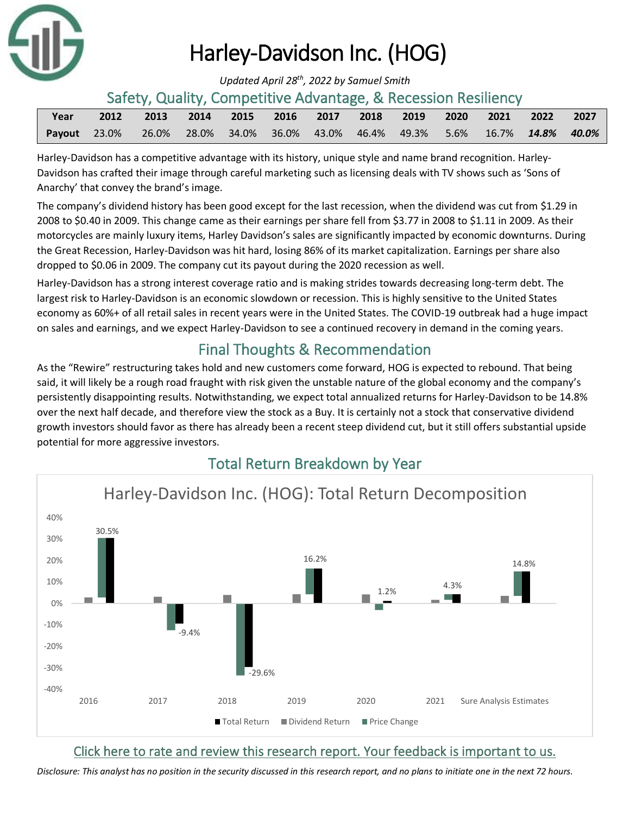

# Harley-Davidson Inc. (HOG)

*Updated April 28th, 2022 by Samuel Smith*

#### Safety, Quality, Competitive Advantage, & Recession Resiliency

| Year | 2012                                                                          |  |  |  | 2013 2014 2015 2016 2017 2018 2019 2020 2021 2022 2027 |  |  |
|------|-------------------------------------------------------------------------------|--|--|--|--------------------------------------------------------|--|--|
|      | Payout 23.0% 26.0% 28.0% 34.0% 36.0% 43.0% 46.4% 49.3% 5.6% 16.7% 14.8% 40.0% |  |  |  |                                                        |  |  |

Harley-Davidson has a competitive advantage with its history, unique style and name brand recognition. Harley-Davidson has crafted their image through careful marketing such as licensing deals with TV shows such as 'Sons of Anarchy' that convey the brand's image.

The company's dividend history has been good except for the last recession, when the dividend was cut from \$1.29 in 2008 to \$0.40 in 2009. This change came as their earnings per share fell from \$3.77 in 2008 to \$1.11 in 2009. As their motorcycles are mainly luxury items, Harley Davidson's sales are significantly impacted by economic downturns. During the Great Recession, Harley-Davidson was hit hard, losing 86% of its market capitalization. Earnings per share also dropped to \$0.06 in 2009. The company cut its payout during the 2020 recession as well.

Harley-Davidson has a strong interest coverage ratio and is making strides towards decreasing long-term debt. The largest risk to Harley-Davidson is an economic slowdown or recession. This is highly sensitive to the United States economy as 60%+ of all retail sales in recent years were in the United States. The COVID-19 outbreak had a huge impact on sales and earnings, and we expect Harley-Davidson to see a continued recovery in demand in the coming years.

# Final Thoughts & Recommendation

As the "Rewire" restructuring takes hold and new customers come forward, HOG is expected to rebound. That being said, it will likely be a rough road fraught with risk given the unstable nature of the global economy and the company's persistently disappointing results. Notwithstanding, we expect total annualized returns for Harley-Davidson to be 14.8% over the next half decade, and therefore view the stock as a Buy. It is certainly not a stock that conservative dividend growth investors should favor as there has already been a recent steep dividend cut, but it still offers substantial upside potential for more aggressive investors.



# Total Return Breakdown by Year

### [Click here to rate and review this research report. Your feedback is important to us.](https://suredividend.typeform.com/to/CRdPqq)

*[Disclosure: This analyst has no position in the security discussed in this research report, and no plans to initiate one in the next 72 hours.](https://suredividend.typeform.com/to/CRdPqq)*